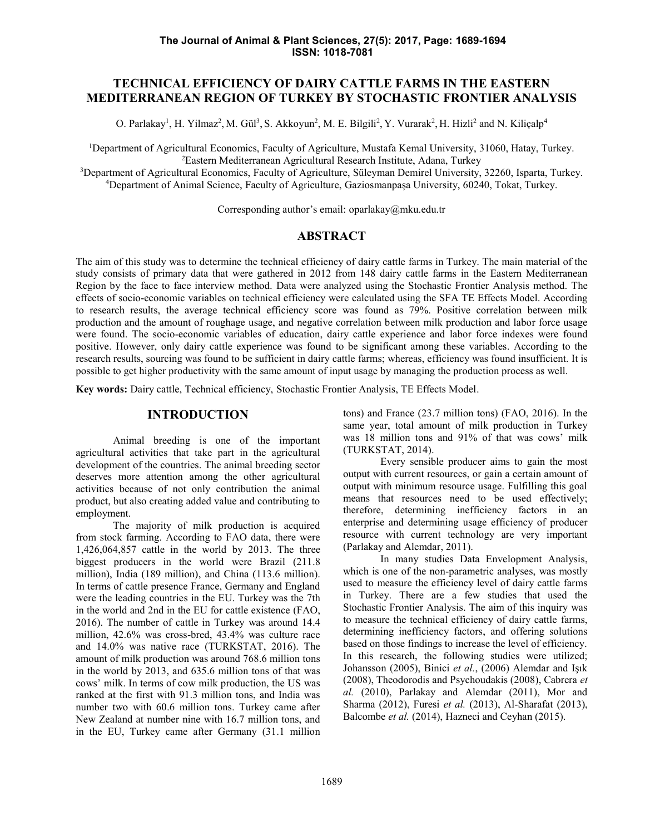# **TECHNICAL EFFICIENCY OF DAIRY CATTLE FARMS IN THE EASTERN MEDITERRANEAN REGION OF TURKEY BY STOCHASTIC FRONTIER ANALYSIS**

O. Parlakay<sup>1</sup>, H. Yilmaz<sup>2</sup>, M. Gül<sup>3</sup>, S. Akkoyun<sup>2</sup>, M. E. Bilgili<sup>2</sup>, Y. Vurarak<sup>2</sup>, H. Hizli<sup>2</sup> and N. Kiliçalp<sup>4</sup>

<sup>1</sup>Department of Agricultural Economics, Faculty of Agriculture, Mustafa Kemal University, 31060, Hatay, Turkey. <sup>2</sup>Eastern Mediterranean Agricultural Research Institute, Adana, Turkey

<sup>3</sup>Department of Agricultural Economics, Faculty of Agriculture, Süleyman Demirel University, 32260, Isparta, Turkey. <sup>4</sup>Department of Animal Science, Faculty of Agriculture, Gaziosmanpaşa University, 60240, Tokat, Turkey.

Corresponding author's email: oparlakay@mku.edu.tr

### **ABSTRACT**

The aim of this study was to determine the technical efficiency of dairy cattle farms in Turkey. The main material of the study consists of primary data that were gathered in 2012 from 148 dairy cattle farms in the Eastern Mediterranean Region by the face to face interview method. Data were analyzed using the Stochastic Frontier Analysis method. The effects of socio-economic variables on technical efficiency were calculated using the SFA TE Effects Model. According to research results, the average technical efficiency score was found as 79%. Positive correlation between milk production and the amount of roughage usage, and negative correlation between milk production and labor force usage were found. The socio-economic variables of education, dairy cattle experience and labor force indexes were found positive. However, only dairy cattle experience was found to be significant among these variables. According to the research results, sourcing was found to be sufficient in dairy cattle farms; whereas, efficiency was found insufficient. It is possible to get higher productivity with the same amount of input usage by managing the production process as well.

**Key words:** Dairy cattle, Technical efficiency, Stochastic Frontier Analysis, TE Effects Model.

#### **INTRODUCTION**

Animal breeding is one of the important agricultural activities that take part in the agricultural development of the countries. The animal breeding sector deserves more attention among the other agricultural activities because of not only contribution the animal product, but also creating added value and contributing to employment.

The majority of milk production is acquired from stock farming. According to FAO data, there were 1,426,064,857 cattle in the world by 2013. The three biggest producers in the world were Brazil (211.8 million), India (189 million), and China (113.6 million). In terms of cattle presence France, Germany and England were the leading countries in the EU. Turkey was the 7th in the world and 2nd in the EU for cattle existence (FAO, 2016). The number of cattle in Turkey was around 14.4 million, 42.6% was cross-bred, 43.4% was culture race and 14.0% was native race (TURKSTAT, 2016). The amount of milk production was around 768.6 million tons in the world by 2013, and 635.6 million tons of that was cows' milk. In terms of cow milk production, the US was ranked at the first with 91.3 million tons, and India was number two with 60.6 million tons. Turkey came after New Zealand at number nine with 16.7 million tons, and in the EU, Turkey came after Germany (31.1 million tons) and France (23.7 million tons) (FAO, 2016). In the same year, total amount of milk production in Turkey was 18 million tons and 91% of that was cows' milk (TURKSTAT, 2014).

Every sensible producer aims to gain the most output with current resources, or gain a certain amount of output with minimum resource usage. Fulfilling this goal means that resources need to be used effectively; therefore, determining inefficiency factors in an enterprise and determining usage efficiency of producer resource with current technology are very important (Parlakay and Alemdar, 2011).

In many studies Data Envelopment Analysis, which is one of the non-parametric analyses, was mostly used to measure the efficiency level of dairy cattle farms in Turkey. There are a few studies that used the Stochastic Frontier Analysis. The aim of this inquiry was to measure the technical efficiency of dairy cattle farms, determining inefficiency factors, and offering solutions based on those findings to increase the level of efficiency. In this research, the following studies were utilized; Johansson (2005), Binici *et al.*, (2006) Alemdar and Işık (2008), Theodorodis and Psychoudakis (2008), Cabrera *et al.* (2010), Parlakay and Alemdar (2011), Mor and Sharma (2012), Furesi *et al.* (2013), Al-Sharafat (2013), Balcombe *et al.* (2014), Hazneci and Ceyhan (2015).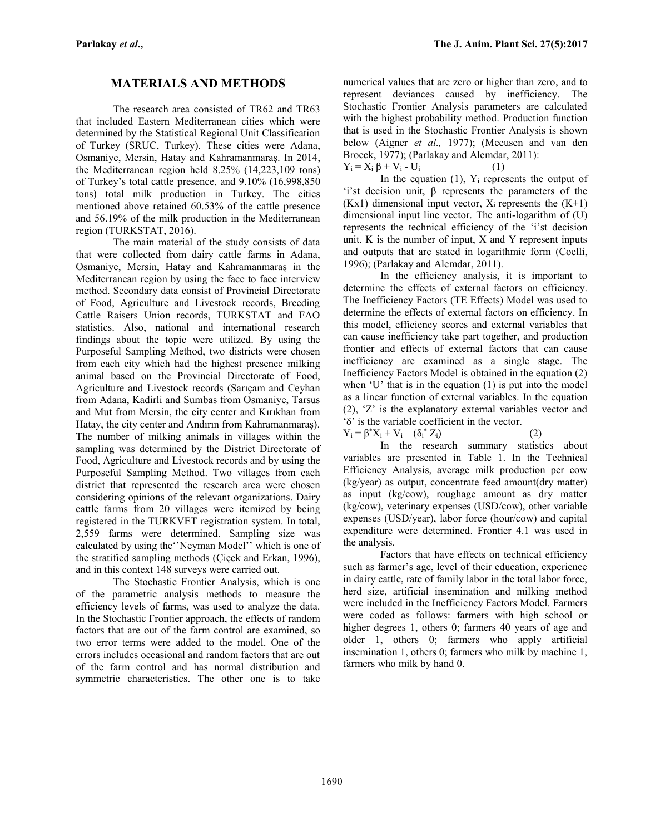## **MATERIALS AND METHODS**

The research area consisted of TR62 and TR63 that included Eastern Mediterranean cities which were determined by the Statistical Regional Unit Classification of Turkey (SRUC, Turkey). These cities were Adana, Osmaniye, Mersin, Hatay and Kahramanmaraş. In 2014, the Mediterranean region held 8.25% (14,223,109 tons) of Turkey's total cattle presence, and 9.10% (16,998,850 tons) total milk production in Turkey. The cities mentioned above retained 60.53% of the cattle presence and 56.19% of the milk production in the Mediterranean region (TURKSTAT, 2016).

The main material of the study consists of data that were collected from dairy cattle farms in Adana, Osmaniye, Mersin, Hatay and Kahramanmaraş in the Mediterranean region by using the face to face interview method. Secondary data consist of Provincial Directorate of Food, Agriculture and Livestock records, Breeding Cattle Raisers Union records, TURKSTAT and FAO statistics. Also, national and international research findings about the topic were utilized. By using the Purposeful Sampling Method, two districts were chosen from each city which had the highest presence milking animal based on the Provincial Directorate of Food, Agriculture and Livestock records (Sarıçam and Ceyhan from Adana, Kadirli and Sumbas from Osmaniye, Tarsus and Mut from Mersin, the city center and Kırıkhan from Hatay, the city center and Andırın from Kahramanmaraş). The number of milking animals in villages within the sampling was determined by the District Directorate of Food, Agriculture and Livestock records and by using the Purposeful Sampling Method. Two villages from each district that represented the research area were chosen considering opinions of the relevant organizations. Dairy cattle farms from 20 villages were itemized by being registered in the TURKVET registration system. In total, 2,559 farms were determined. Sampling size was calculated by using the''Neyman Model'' which is one of the stratified sampling methods (Çiçek and Erkan, 1996), and in this context 148 surveys were carried out.

The Stochastic Frontier Analysis, which is one of the parametric analysis methods to measure the efficiency levels of farms, was used to analyze the data. In the Stochastic Frontier approach, the effects of random factors that are out of the farm control are examined, so two error terms were added to the model. One of the errors includes occasional and random factors that are out of the farm control and has normal distribution and symmetric characteristics. The other one is to take numerical values that are zero or higher than zero, and to represent deviances caused by inefficiency. The Stochastic Frontier Analysis parameters are calculated with the highest probability method. Production function that is used in the Stochastic Frontier Analysis is shown below (Aigner *et al.,* 1977); (Meeusen and van den Broeck, 1977); (Parlakay and Alemdar, 2011):  $Y_i = X_i \beta + V_i - U_i$  (1)

In the equation  $(1)$ ,  $Y_i$  represents the output of 'i'st decision unit, β represents the parameters of the  $(Kx1)$  dimensional input vector,  $X_i$  represents the  $(K+1)$ dimensional input line vector. The anti-logarithm of (U) represents the technical efficiency of the 'i'st decision unit. K is the number of input, X and Y represent inputs and outputs that are stated in logarithmic form (Coelli, 1996); (Parlakay and Alemdar, 2011).

In the efficiency analysis, it is important to determine the effects of external factors on efficiency. The Inefficiency Factors (TE Effects) Model was used to determine the effects of external factors on efficiency. In this model, efficiency scores and external variables that can cause inefficiency take part together, and production frontier and effects of external factors that can cause inefficiency are examined as a single stage. The Inefficiency Factors Model is obtained in the equation (2) when 'U' that is in the equation (1) is put into the model as a linear function of external variables. In the equation (2), 'Z' is the explanatory external variables vector and 'δ' is the variable coefficient in the vector.

 $Y_i = \beta^* X_i + V_i - (\delta_i^* Z_i)$  (2)

In the research summary statistics about variables are presented in Table 1. In the Technical Efficiency Analysis, average milk production per cow (kg/year) as output, concentrate feed amount(dry matter) as input (kg/cow), roughage amount as dry matter (kg/cow), veterinary expenses (USD/cow), other variable expenses (USD/year), labor force (hour/cow) and capital expenditure were determined. Frontier 4.1 was used in the analysis.

Factors that have effects on technical efficiency such as farmer's age, level of their education, experience in dairy cattle, rate of family labor in the total labor force, herd size, artificial insemination and milking method were included in the Inefficiency Factors Model. Farmers were coded as follows: farmers with high school or higher degrees 1, others 0; farmers 40 years of age and older 1, others 0; farmers who apply artificial insemination 1, others 0; farmers who milk by machine 1, farmers who milk by hand 0.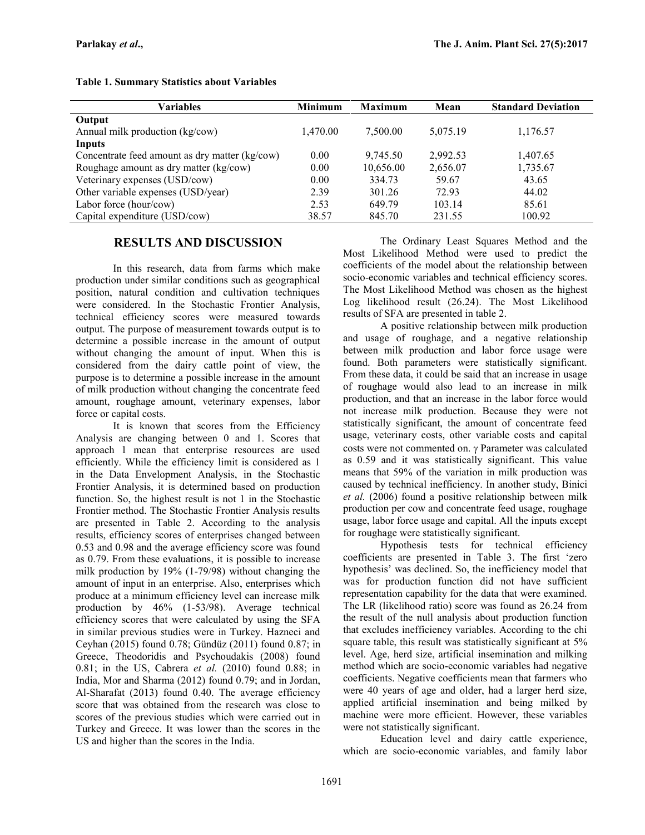| Variables                                      | <b>Minimum</b> | <b>Maximum</b> | Mean     | <b>Standard Deviation</b> |
|------------------------------------------------|----------------|----------------|----------|---------------------------|
| Output                                         |                |                |          |                           |
| Annual milk production (kg/cow)                | 1.470.00       | 7,500.00       | 5,075.19 | 1,176.57                  |
| Inputs                                         |                |                |          |                           |
| Concentrate feed amount as dry matter (kg/cow) | 0.00           | 9,745.50       | 2,992.53 | 1,407.65                  |
| Roughage amount as dry matter (kg/cow)         | 0.00           | 10,656.00      | 2,656.07 | 1,735.67                  |
| Veterinary expenses (USD/cow)                  | 0.00           | 334.73         | 59.67    | 43.65                     |
| Other variable expenses (USD/year)             | 2.39           | 301.26         | 72.93    | 44.02                     |
| Labor force (hour/cow)                         | 2.53           | 649.79         | 103.14   | 85.61                     |
| Capital expenditure (USD/cow)                  | 38.57          | 845.70         | 231.55   | 100.92                    |

#### **Table 1. Summary Statistics about Variables**

## **RESULTS AND DISCUSSION**

In this research, data from farms which make production under similar conditions such as geographical position, natural condition and cultivation techniques were considered. In the Stochastic Frontier Analysis, technical efficiency scores were measured towards output. The purpose of measurement towards output is to determine a possible increase in the amount of output without changing the amount of input. When this is considered from the dairy cattle point of view, the purpose is to determine a possible increase in the amount of milk production without changing the concentrate feed amount, roughage amount, veterinary expenses, labor force or capital costs.

It is known that scores from the Efficiency Analysis are changing between 0 and 1. Scores that approach 1 mean that enterprise resources are used efficiently. While the efficiency limit is considered as 1 in the Data Envelopment Analysis, in the Stochastic Frontier Analysis, it is determined based on production function. So, the highest result is not 1 in the Stochastic Frontier method. The Stochastic Frontier Analysis results are presented in Table 2. According to the analysis results, efficiency scores of enterprises changed between 0.53 and 0.98 and the average efficiency score was found as 0.79. From these evaluations, it is possible to increase milk production by 19% (1-79/98) without changing the amount of input in an enterprise. Also, enterprises which produce at a minimum efficiency level can increase milk production by 46% (1-53/98). Average technical efficiency scores that were calculated by using the SFA in similar previous studies were in Turkey. Hazneci and Ceyhan (2015) found 0.78; Gündüz (2011) found 0.87; in Greece, Theodoridis and Psychoudakis (2008) found 0.81; in the US, Cabrera *et al.* (2010) found 0.88; in India, Mor and Sharma (2012) found 0.79; and in Jordan, Al-Sharafat (2013) found 0.40. The average efficiency score that was obtained from the research was close to scores of the previous studies which were carried out in Turkey and Greece. It was lower than the scores in the US and higher than the scores in the India.

The Ordinary Least Squares Method and the Most Likelihood Method were used to predict the coefficients of the model about the relationship between socio-economic variables and technical efficiency scores. The Most Likelihood Method was chosen as the highest Log likelihood result (26.24). The Most Likelihood results of SFA are presented in table 2.

A positive relationship between milk production and usage of roughage, and a negative relationship between milk production and labor force usage were found. Both parameters were statistically significant. From these data, it could be said that an increase in usage of roughage would also lead to an increase in milk production, and that an increase in the labor force would not increase milk production. Because they were not statistically significant, the amount of concentrate feed usage, veterinary costs, other variable costs and capital costs were not commented on.  $\gamma$  Parameter was calculated as 0.59 and it was statistically significant. This value means that 59% of the variation in milk production was caused by technical inefficiency. In another study, Binici *et al.* (2006) found a positive relationship between milk production per cow and concentrate feed usage, roughage usage, labor force usage and capital. All the inputs except for roughage were statistically significant.

Hypothesis tests for technical efficiency coefficients are presented in Table 3. The first 'zero hypothesis' was declined. So, the inefficiency model that was for production function did not have sufficient representation capability for the data that were examined. The LR (likelihood ratio) score was found as 26.24 from the result of the null analysis about production function that excludes inefficiency variables. According to the chi square table, this result was statistically significant at 5% level. Age, herd size, artificial insemination and milking method which are socio-economic variables had negative coefficients. Negative coefficients mean that farmers who were 40 years of age and older, had a larger herd size, applied artificial insemination and being milked by machine were more efficient. However, these variables were not statistically significant.

Education level and dairy cattle experience, which are socio-economic variables, and family labor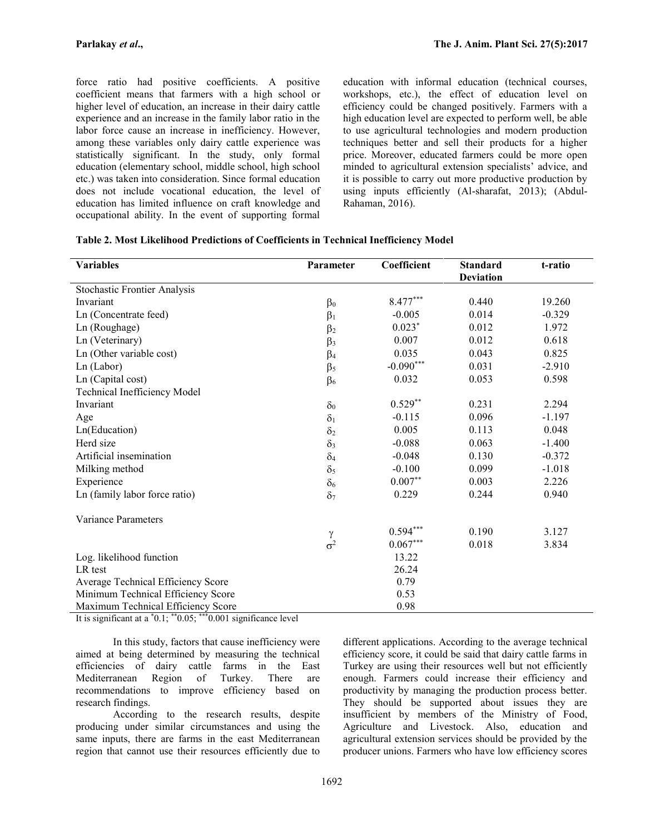force ratio had positive coefficients. A positive coefficient means that farmers with a high school or higher level of education, an increase in their dairy cattle experience and an increase in the family labor ratio in the labor force cause an increase in inefficiency. However, among these variables only dairy cattle experience was statistically significant. In the study, only formal education (elementary school, middle school, high school etc.) was taken into consideration. Since formal education does not include vocational education, the level of education has limited influence on craft knowledge and occupational ability. In the event of supporting formal education with informal education (technical courses, workshops, etc.), the effect of education level on efficiency could be changed positively. Farmers with a high education level are expected to perform well, be able to use agricultural technologies and modern production techniques better and sell their products for a higher price. Moreover, educated farmers could be more open minded to agricultural extension specialists' advice, and it is possible to carry out more productive production by using inputs efficiently (Al-sharafat, 2013); (Abdul- Rahaman, 2016).

#### **Table 2. Most Likelihood Predictions of Coefficients in Technical Inefficiency Model**

| <b>Variables</b>                    | Parameter            | Coefficient | <b>Standard</b>  | t-ratio  |
|-------------------------------------|----------------------|-------------|------------------|----------|
|                                     |                      |             | <b>Deviation</b> |          |
| <b>Stochastic Frontier Analysis</b> |                      |             |                  |          |
| Invariant                           | $\beta_0$            | $8.477***$  | 0.440            | 19.260   |
| Ln (Concentrate feed)               | $\beta_1$            | $-0.005$    | 0.014            | $-0.329$ |
| Ln (Roughage)                       | $\beta_2$            | $0.023*$    | 0.012            | 1.972    |
| Ln (Veterinary)                     | $\beta_3$            | 0.007       | 0.012            | 0.618    |
| Ln (Other variable cost)            | $\beta_4$            | 0.035       | 0.043            | 0.825    |
| $Ln$ (Labor)                        | $\beta$ <sub>5</sub> | $-0.090***$ | 0.031            | $-2.910$ |
| Ln (Capital cost)                   | $\beta_6$            | 0.032       | 0.053            | 0.598    |
| Technical Inefficiency Model        |                      |             |                  |          |
| Invariant                           | $\delta_0$           | $0.529**$   | 0.231            | 2.294    |
| Age                                 | $\delta_1$           | $-0.115$    | 0.096            | $-1.197$ |
| Ln(Education)                       | $\delta_2$           | 0.005       | 0.113            | 0.048    |
| Herd size                           | $\delta_3$           | $-0.088$    | 0.063            | $-1.400$ |
| Artificial insemination             | $\delta_4$           | $-0.048$    | 0.130            | $-0.372$ |
| Milking method                      | $\delta_5$           | $-0.100$    | 0.099            | $-1.018$ |
| Experience                          | $\delta_6$           | $0.007**$   | 0.003            | 2.226    |
| Ln (family labor force ratio)       | $\delta_7$           | 0.229       | 0.244            | 0.940    |
| Variance Parameters                 |                      |             |                  |          |
|                                     | γ                    | $0.594***$  | 0.190            | 3.127    |
|                                     | $\sigma^2$           | $0.067***$  | 0.018            | 3.834    |
| Log. likelihood function            |                      | 13.22       |                  |          |
| LR test                             |                      | 26.24       |                  |          |
| Average Technical Efficiency Score  |                      | 0.79        |                  |          |
| Minimum Technical Efficiency Score  |                      | 0.53        |                  |          |
| Maximum Technical Efficiency Score  |                      | 0.98        |                  |          |

It is significant at a \*0.1; \*\*0.05; \*\*\*0.001 significance level

In this study, factors that cause inefficiency were aimed at being determined by measuring the technical efficiencies of dairy cattle farms in the East Mediterranean Region of Turkey. There are recommendations to improve efficiency based on research findings.

According to the research results, despite producing under similar circumstances and using the same inputs, there are farms in the east Mediterranean region that cannot use their resources efficiently due to

different applications. According to the average technical efficiency score, it could be said that dairy cattle farms in Turkey are using their resources well but not efficiently enough. Farmers could increase their efficiency and productivity by managing the production process better. They should be supported about issues they are insufficient by members of the Ministry of Food, Agriculture and Livestock. Also, education and agricultural extension services should be provided by the producer unions. Farmers who have low efficiency scores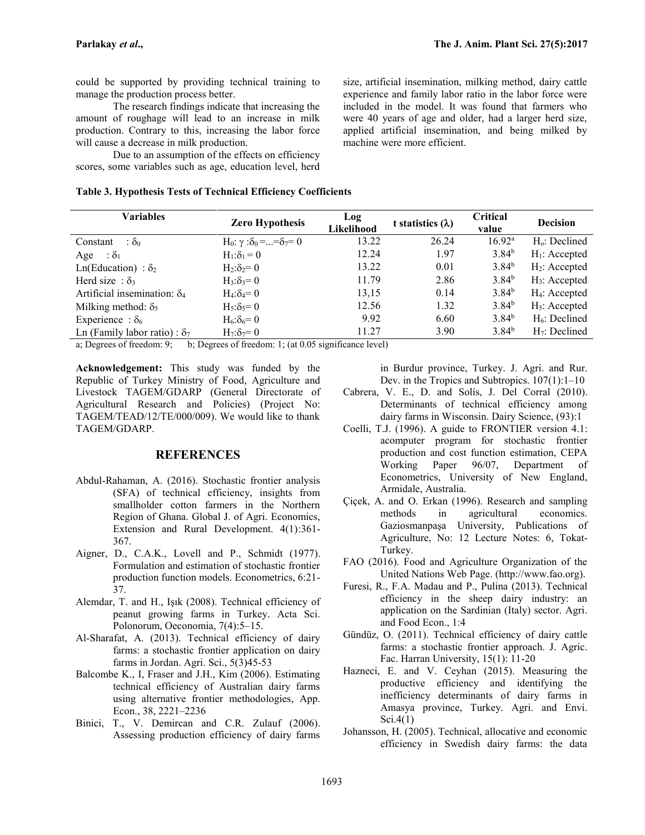could be supported by providing technical training to manage the production process better.

The research findings indicate that increasing the amount of roughage will lead to an increase in milk production. Contrary to this, increasing the labor force will cause a decrease in milk production.

Due to an assumption of the effects on efficiency scores, some variables such as age, education level, herd

|  |  | Table 3. Hypothesis Tests of Technical Efficiency Coefficients |
|--|--|----------------------------------------------------------------|
|  |  |                                                                |

size, artificial insemination, milking method, dairy cattle experience and family labor ratio in the labor force were included in the model. It was found that farmers who were 40 years of age and older, had a larger herd size, applied artificial insemination, and being milked by machine were more efficient.

| <b>Zero Hypothesis</b>                                  | Log<br>Likelihood               | t statistics $(\lambda)$ | Critical<br>value | <b>Decision</b>  |
|---------------------------------------------------------|---------------------------------|--------------------------|-------------------|------------------|
| H <sub>0</sub> : γ :δ <sub>0</sub> ==δ <sub>7</sub> = 0 | 13.22                           | 26.24                    | $16.92^{\rm a}$   | $H_0$ : Declined |
| $H_1: \delta_1 = 0$                                     | 12.24                           | 1.97                     | 3.84 <sup>b</sup> | $H_1$ : Accepted |
| $H_2: \delta_2 = 0$                                     | 13.22                           | 0.01                     | 3.84 <sup>b</sup> | $H_2$ : Accepted |
| $H_3: \delta_3 = 0$                                     | 11.79                           | 2.86                     | 3.84 <sup>b</sup> | $H_3$ : Accepted |
| $H_4: \delta_4 = 0$                                     | 13,15                           | 0.14                     | $3.84^{b}$        | $H_4$ : Accepted |
| $H_5: \delta_5 = 0$                                     | 12.56                           | 1.32                     | 3.84 <sup>b</sup> | $H_5$ : Accepted |
| $H_6: \delta_6 = 0$                                     | 9.92                            | 6.60                     | $3.84^{b}$        | $H_6$ : Declined |
| $H_7: \delta_7 = 0$                                     | 11.27                           | 3.90                     | 3.84 <sup>b</sup> | $H_7$ : Declined |
|                                                         | $\mathcal{C}$<br>$1 / \sqrt{Q}$ | $\cdot$ $\sim$           | $\rightarrow$     |                  |

a; Degrees of freedom: 9; b; Degrees of freedom: 1; (at 0.05 significance level)

**Acknowledgement:** This study was funded by the Republic of Turkey Ministry of Food, Agriculture and Livestock TAGEM/GDARP (General Directorate of Agricultural Research and Policies) (Project No: TAGEM/TEAD/12/TE/000/009). We would like to thank TAGEM/GDARP.

### **REFERENCES**

- Abdul-Rahaman, A. (2016). Stochastic frontier analysis (SFA) of technical efficiency, insights from smallholder cotton farmers in the Northern Region of Ghana. Global J. of Agri. Economics, Extension and Rural Development. 4(1):361- 367.
- Aigner, D., C.A.K., Lovell and P., Schmidt (1977). Formulation and estimation of stochastic frontier production function models. Econometrics, 6:21- 37.
- Alemdar, T. and H., Işık (2008). Technical efficiency of peanut growing farms in Turkey. Acta Sci. Polonorum, Oeconomia, 7(4):5–15.
- Al-Sharafat, A. (2013). Technical efficiency of dairy farms: a stochastic frontier application on dairy farms in Jordan. Agri. Sci., 5(3)45-53
- Balcombe K., I, Fraser and J.H., Kim (2006). Estimating technical efficiency of Australian dairy farms using alternative frontier methodologies, App. Econ., 38, 2221–2236
- Binici, T., V. Demircan and C.R. Zulauf (2006). Assessing production efficiency of dairy farms

in Burdur province, Turkey. J. Agri. and Rur. Dev. in the Tropics and Subtropics. 107(1):1–10

- Cabrera, V. E., D. and Solís, J. Del Corral (2010). Determinants of technical efficiency among dairy farms in Wisconsin. Dairy Science, (93):1
- Coelli, T.J. (1996). A guide to FRONTIER version 4.1: acomputer program for stochastic frontier production and cost function estimation, CEPA Working Paper 96/07, Department of Econometrics, University of New England, Armidale, Australia.
- Çiçek, A. and O. Erkan (1996). Research and sampling methods in agricultural economics. Gaziosmanpaşa University, Publications of Agriculture, No: 12 Lecture Notes: 6, Tokat- Turkey.
- FAO (2016). Food and Agriculture Organization of the United Nations Web Page. (http://www.fao.org).
- Furesi, R., F.A. Madau and P., Pulina (2013). Technical efficiency in the sheep dairy industry: an application on the Sardinian (Italy) sector. Agri. and Food Econ., 1:4
- Gündüz, O. (2011). Technical efficiency of dairy cattle farms: a stochastic frontier approach. J. Agric. Fac. Harran University, 15(1): 11-20
- Hazneci, E. and V. Ceyhan (2015). Measuring the productive efficiency and identifying the inefficiency determinants of dairy farms in Amasya province, Turkey. Agri. and Envi. Sci.4(1)
- Johansson, H. (2005). Technical, allocative and economic efficiency in Swedish dairy farms: the data